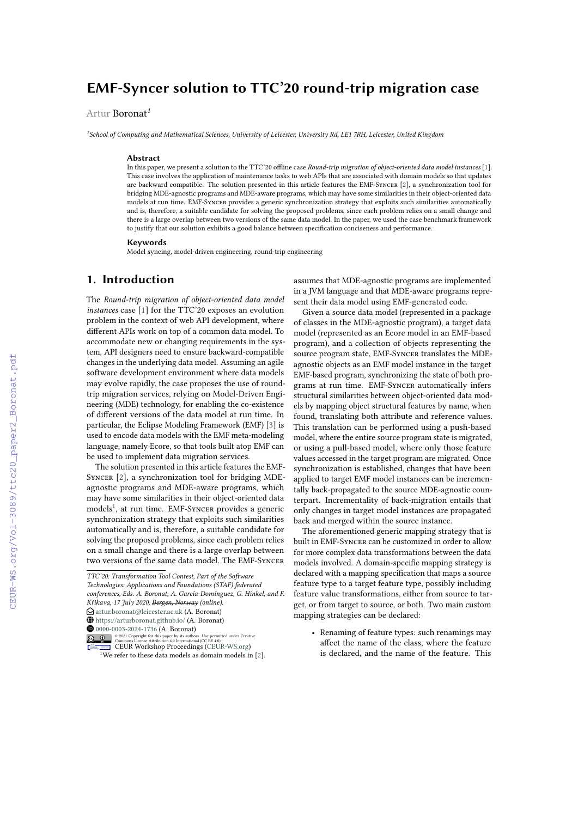# **EMF-Syncer solution to TTC'20 round-trip migration case**

Artur Boronat*<sup>1</sup>*

*1 School of Computing and Mathematical Sciences, University of Leicester, University Rd, LE1 7RH, Leicester, United Kingdom*

#### **Abstract**

In this paper, we present a solution to the TTC'20 offline case *Round-trip migration of object-oriented data model instances* [\[1\]](#page--1-0). This case involves the application of maintenance tasks to web APIs that are associated with domain models so that updates are backward compatible. The solution presented in this article features the EMF-Syncer [\[2\]](#page--1-1), a synchronization tool for bridging MDE-agnostic programs and MDE-aware programs, which may have some similarities in their object-oriented data models at run time. EMF-Syncer provides a generic synchronization strategy that exploits such similarities automatically and is, therefore, a suitable candidate for solving the proposed problems, since each problem relies on a small change and there is a large overlap between two versions of the same data model. In the paper, we used the case benchmark framework to justify that our solution exhibits a good balance between specification conciseness and performance.

### **Keywords**

Model syncing, model-driven engineering, round-trip engineering

### **1. Introduction**

The *Round-trip migration of object-oriented data model instances* case [\[1\]](#page--1-0) for the TTC'20 exposes an evolution problem in the context of web API development, where different APIs work on top of a common data model. To accommodate new or changing requirements in the system, API designers need to ensure backward-compatible changes in the underlying data model. Assuming an agile software development environment where data models may evolve rapidly, the case proposes the use of roundtrip migration services, relying on Model-Driven Engineering (MDE) technology, for enabling the co-existence of different versions of the data model at run time. In particular, the Eclipse Modeling Framework (EMF) [\[3\]](#page--1-2) is used to encode data models with the EMF meta-modeling language, namely Ecore, so that tools built atop EMF can be used to implement data migration services.

The solution presented in this article features the EMF-SYNCER [\[2\]](#page--1-1), a synchronization tool for bridging MDEagnostic programs and MDE-aware programs, which may have some similarities in their object-oriented data models<sup>[1](#page-0-0)</sup>, at run time. EMF-SYNCER provides a generic synchronization strategy that exploits such similarities automatically and is, therefore, a suitable candidate for solving the proposed problems, since each problem relies on a small change and there is a large overlap between two versions of the same data model. The EMF-Syncer

assumes that MDE-agnostic programs are implemented in a JVM language and that MDE-aware programs represent their data model using EMF-generated code.

Given a source data model (represented in a package of classes in the MDE-agnostic program), a target data model (represented as an Ecore model in an EMF-based program), and a collection of objects representing the source program state, EMF-Syncer translates the MDEagnostic objects as an EMF model instance in the target EMF-based program, synchronizing the state of both programs at run time. EMF-Syncer automatically infers structural similarities between object-oriented data models by mapping object structural features by name, when found, translating both attribute and reference values. This translation can be performed using a push-based model, where the entire source program state is migrated, or using a pull-based model, where only those feature values accessed in the target program are migrated. Once synchronization is established, changes that have been applied to target EMF model instances can be incrementally back-propagated to the source MDE-agnostic counterpart. Incrementality of back-migration entails that only changes in target model instances are propagated back and merged within the source instance.

The aforementioned generic mapping strategy that is built in EMF-Syncer can be customized in order to allow for more complex data transformations between the data models involved. A domain-specific mapping strategy is declared with a mapping specification that maps a source feature type to a target feature type, possibly including feature value transformations, either from source to target, or from target to source, or both. Two main custom mapping strategies can be declared:

• Renaming of feature types: such renamings may affect the name of the class, where the feature is declared, and the name of the feature. This

*TTC'20: Transformation Tool Contest, Part of the Software Technologies: Applications and Foundations (STAF) federated conferences, Eds. A. Boronat, A. García-Domínguez, G. Hinkel, and F. Křikava, 17 July 2020, Bergen, Norway (online).*  $\bigcirc$  [artur.boronat@leicester.ac.uk](mailto:artur.boronat@leicester.ac.uk) (A. Boronat) ~ <https://arturboronat.github.io/> (A. Boronat)  $\bigcirc$  [0000-0003-2024-1736](https://orcid.org/0000-0003-2024-1736) (A. Boronat)<br> $\bigcirc$  2021 Convrient for this paper by its authors. Use permitted under Creative

**D** 2 2021 Commons License Attribution 4.0 line and the commons License Attribution 4.0 line transitional (CC BY 4.0).<br> **CEUR Workshop [Proceedings](http://ceur-ws.org) [\(CEUR-WS.org\)](http://ceur-ws.org)** 

<span id="page-0-0"></span> $\frac{1}{1}$ We refer to these data models as domain models in [\[2\]](#page--1-1).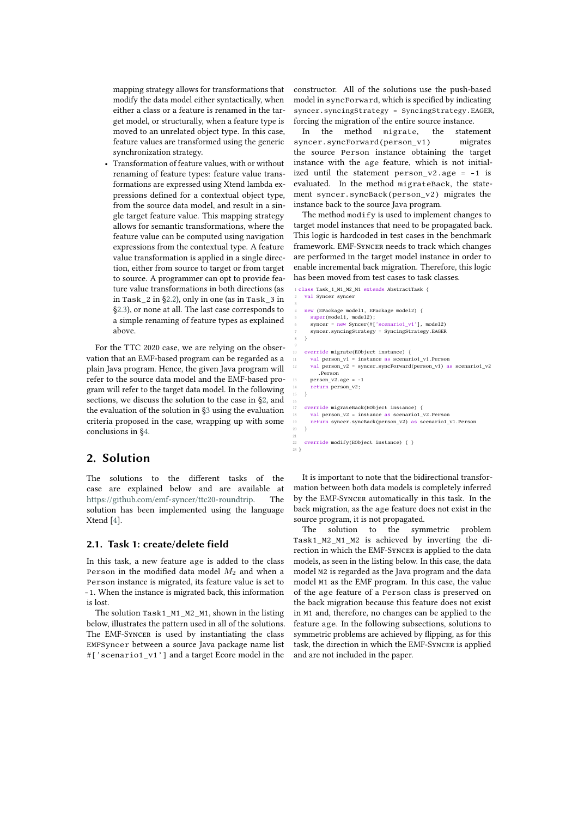mapping strategy allows for transformations that modify the data model either syntactically, when either a class or a feature is renamed in the target model, or structurally, when a feature type is moved to an unrelated object type. In this case, feature values are transformed using the generic synchronization strategy.

• Transformation of feature values, with or without renaming of feature types: feature value transformations are expressed using Xtend lambda expressions defined for a contextual object type, from the source data model, and result in a single target feature value. This mapping strategy allows for semantic transformations, where the feature value can be computed using navigation expressions from the contextual type. A feature value transformation is applied in a single direction, either from source to target or from target to source. A programmer can opt to provide feature value transformations in both directions (as in Task\_2 in [§2.2\)](#page-2-0), only in one (as in Task\_3 in [§2.3\)](#page-2-1), or none at all. The last case corresponds to a simple renaming of feature types as explained above.

For the TTC 2020 case, we are relying on the observation that an EMF-based program can be regarded as a plain Java program. Hence, the given Java program will refer to the source data model and the EMF-based program will refer to the target data model. In the following sections, we discuss the solution to the case in [§2,](#page-1-0) and the evaluation of the solution in [§3](#page-3-0) using the evaluation criteria proposed in the case, wrapping up with some conclusions in [§4.](#page-4-0)

## <span id="page-1-0"></span>**2. Solution**

The solutions to the different tasks of the case are explained below and are available at [https://github.com/emf-syncer/ttc20-roundtrip.](https://github.com/emf-syncer/ttc20-roundtrip) The solution has been implemented using the language Xtend [\[4\]](#page-5-0).

### <span id="page-1-1"></span>**2.1. Task 1: create/delete field**

In this task, a new feature age is added to the class Person in the modified data model  $M_2$  and when a Person instance is migrated, its feature value is set to -1. When the instance is migrated back, this information is lost.

The solution Task1\_M1\_M2\_M1, shown in the listing below, illustrates the pattern used in all of the solutions. The EMF-Syncer is used by instantiating the class EMFSyncer between a source Java package name list #['scenario1\_v1'] and a target Ecore model in the

constructor. All of the solutions use the push-based model in syncForward, which is specified by indicating syncer.syncingStrategy = SyncingStrategy.EAGER, forcing the migration of the entire source instance.

In the method migrate, the statement syncer.syncForward(person\_v1) migrates the source Person instance obtaining the target instance with the age feature, which is not initialized until the statement person\_v2.age = -1 is evaluated. In the method migrateBack, the statement syncer.syncBack(person\_v2) migrates the instance back to the source Java program.

The method modify is used to implement changes to target model instances that need to be propagated back. This logic is hardcoded in test cases in the benchmark framework. EMF-Syncer needs to track which changes are performed in the target model instance in order to enable incremental back migration. Therefore, this logic has been moved from test cases to task classes.

```
1 class Task_1_M1_M2_M1 extends AbstractTask {
   val Syncer syncer
 3
    new (EPackage model1, EPackage model2) {
 5 super(model1, model2);
6 syncer = new Syncer(#['scenario1_v1'], model2)
       7 syncer.syncingStrategy = SyncingStrategy.EAGER
 8 }
 9
    10 override migrate(EObject instance) {
       val person_v1 = instance as scenario1_v1.Person
12 val person_v2 = syncer.syncForward(person_v1) as scenario1_v2
.Person
13 person_v2.age = 14 return person v
    return person_v2;
15 }
16
    override migrateBack(EObject instance) {
      val person v2 = instance as scenario1 v2. Person
       19 return syncer.syncBack(person_v2) as scenario1_v1.Person
20 }
21
   override modify(EObject instance) \{\}23 }
```
It is important to note that the bidirectional transformation between both data models is completely inferred by the EMF-Syncer automatically in this task. In the back migration, as the age feature does not exist in the source program, it is not propagated.

The solution to the symmetric problem Task1\_M2\_M1\_M2 is achieved by inverting the direction in which the EMF-Syncer is applied to the data models, as seen in the listing below. In this case, the data model M2 is regarded as the Java program and the data model M1 as the EMF program. In this case, the value of the age feature of a Person class is preserved on the back migration because this feature does not exist in M1 and, therefore, no changes can be applied to the feature age. In the following subsections, solutions to symmetric problems are achieved by flipping, as for this task, the direction in which the EMF-Syncer is applied and are not included in the paper.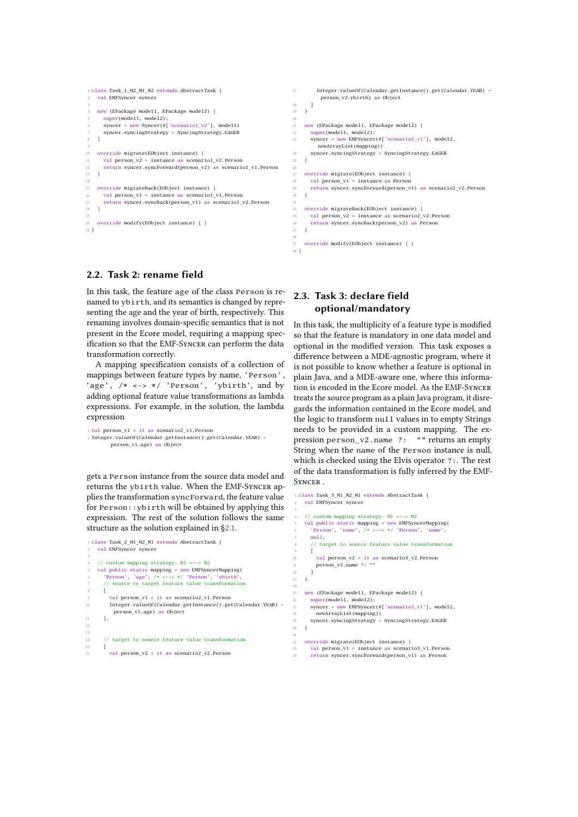```
1 class Task_1_M2_M1_M2 extends AbstractTask {
    val EMFSyncer syncer
 3
    4 new (EPackage model1, EPackage model2) {
      super(model1, model2);
      symcer = new Syncer(\#['scenario1_v2'], model1)syncer.syncingStrategy = SyncingStrategy.EAGER
 8 }
 9
10 override migrate(EObject instance) {
     val person_v2 = instance as scenario1_v2.Person
12 return syncer.syncForward(person_v2) as scenario1_v1.Person
   \rightarrow\begin{array}{c} 14 \\ 15 \end{array}15 override migrateBack(EObject instance) {
16 val person v1 = instance as scenario1 v1. Person
17 return syncer.syncBack(person_v1) as scenario1_v2.Person
18 }
19
    override modify(EObject instance) { }
21 }
                                                                          17 Integer.valueOf(Calendar.getInstance().get(Calendar.YEAR) -
                                                                                  person_v2.ybirth) as Object
                                                                         18 1
                                                                          19 )
                                                                          20
                                                                          21 new (EPackage model1, EPackage model2) {<br>
22 \text{ super(model1 model2)}sumer(model1, model2);
                                                                          23 syncer = new EMFSyncer(#['scenario2_v1'], mode12,
                                                                                   newArrayList(mapping))
                                                                         24 syncer.syncingStrategy = SyncingStrategy.EAGER
                                                                          25 }
                                                                          26
                                                                             override migrate(EObject instance) {
                                                                          28 val person v1 = instance as Person
                                                                          29 return syncer.syncForward(person_v1) as scenario2_v2.Person
                                                                             \overline{3}31
                                                                          32 override migrateBack(EObject instance) {
                                                                          33 val person_v2 = instance as scenario2_v2.Person
                                                                                34 return syncer.syncBack(person_v2) as Person
                                                                          35 - 336
                                                                          37 override modify(EObject instance) { }
```
38 }

3

14

21

### <span id="page-2-0"></span>**2.2. Task 2: rename field**

In this task, the feature age of the class Person is renamed to ybirth, and its semantics is changed by representing the age and the year of birth, respectively. This renaming involves domain-specific semantics that is not present in the Ecore model, requiring a mapping specification so that the EMF-Syncer can perform the data transformation correctly.

A mapping specification consists of a collection of mappings between feature types by name, 'Person', 'age', /\* <-> \*/ 'Person', 'ybirth', and by adding optional feature value transformations as lambda expressions. For example, in the solution, the lambda expression

```
1 val person v1 = it as scenario2 v1. Person
2 Integer.valueOf(Calendar.getInstance().get(Calendar.YEAR) -
person_v1.age) as Object
```
gets a Person instance from the source data model and returns the ybirth value. When the EMF-Syncer applies the transformation syncForward, the feature value for Person::ybirth will be obtained by applying this expression. The rest of the solution follows the same structure as the solution explained in [§2.1.](#page-1-1)

```
1 class Task_2_M1_M2_M1 extends AbstractTask {
   val EMFSyncer syncer
 3
    4 // custom mapping strategy: M1 <--> M2
 5 val public static mapping = new EMFSyncerMapping(
6 'Person', 'age', /* <--> */ 'Person', 'ybirth',
       7 // source to target feature value transformation
 8 [
         val person v1 = it as scenario2 v1. Person
10 Integer.valueOf(Calendar.getInstance().get(Calendar.YEAR) -
           person_v1.age) as Object
11 \t 1,
\overline{12}13
       14 // target to source feature value transformation
15 [
         val person v2 = it as scenario2 v2. Person
```
### <span id="page-2-1"></span>**2.3. Task 3: declare field optional/mandatory**

In this task, the multiplicity of a feature type is modified so that the feature is mandatory in one data model and optional in the modified version. This task exposes a difference between a MDE-agnostic program, where it is not possible to know whether a feature is optional in plain Java, and a MDE-aware one, where this information is encoded in the Ecore model. As the EMF-Syncer treats the source program as a plain Java program, it disregards the information contained in the Ecore model, and the logic to transform null values in to empty Strings needs to be provided in a custom mapping. The expression person\_v2.name ?: "" returns an empty String when the name of the Person instance is null, which is checked using the Elvis operator ?:. The rest of the data transformation is fully inferred by the EMF-**SYNCER** 

```
1 class Task_3_M1_M2_M1 extends AbstractTask {
    2 val EMFSyncer syncer
    4 // custom mapping strategy: M1 <--> M2
 5 val public static mapping = new EMFSyncerMapping(
6 'Person', 'name', /* <--> */ 'Person', 'name',
       null,
       8 // target to source feature value transformation
       \overline{1}10 val person_v2 = it as scenario3_v2.Person<br>11 person v2.name ?: ""
         11 person_v2.name ?: ""
\frac{12}{13} ]
   \overline{1}15 new (EPackage model1, EPackage model2) {
16 super(model1, model2);
17 syncer = new EMFSyncer(#['scenario3_v1'], model2,
18 newArrayList(mapping))
    syncer.syncingStrategy = SyncingStrategy.EAGER
20 }
22 override migrate(EObject instance) {
23 val person_v1 = instance as scenario3_v1.Person
```

```
return syncForward(person_v1) as Person
```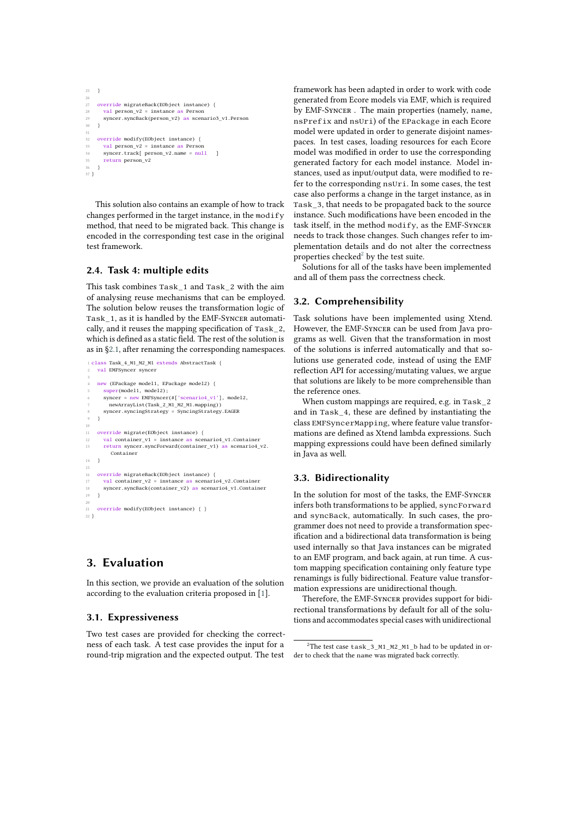```
25 }
26
27 override migrateBack(EObject instance) {
28 val person_v2 = instance as Person
29 syncer.syncBack(person_v2) as scenario3_v1.Person 30 }
    \overline{3}31
32 override modify(EObject instance) {<br>33 valuerson y^2 = instance as Person
       val person y^2 = instance as Person
34 syncer.track[ person v2.name = null ]
       35 return person_v2
36 }
37 }
```
This solution also contains an example of how to track changes performed in the target instance, in the modify method, that need to be migrated back. This change is encoded in the corresponding test case in the original test framework.

### **2.4. Task 4: multiple edits**

This task combines Task\_1 and Task\_2 with the aim of analysing reuse mechanisms that can be employed. The solution below reuses the transformation logic of Task\_1, as it is handled by the EMF-Syncer automatically, and it reuses the mapping specification of Task\_2, which is defined as a static field. The rest of the solution is as in [§2.1,](#page-1-1) after renaming the corresponding namespaces.

```
1 class Task_4_M1_M2_M1 extends AbstractTask {
     val EMFSyncer syncer
 3
     new (EPackage model1, EPackage model2) {
         super(model1, model2);
         syncer = new EMFSyncer(#['scenario4_v1'], model2,
 7 newArrayList(Task_2_M1_M2_M1.mapping))
8 syncer.syncingStrategy = SyncingStrategy.EAGER
     9 }
\begin{array}{c} 10 \\ 11 \end{array}override migrate(EObject instance) {
12 val container_v1 = instance as scenario4_v1.Container<br>13 return syncer.syncForward(container v1) as scenario4
         13 return syncer.syncForward(container_v1) as scenario4_v2.
            Container
14 }
15
16 override migrateBack(EObject instance) {<br>17 \text{ val container } 2^2 = \text{instance as scenario}17 val container_v2 = instance as scenario4_v2.Container
18 syncer.syncBack(container_v2) as scenario4_v1.Container
19 }
20
     override modify(EObject instance) { }
22 }
```
## <span id="page-3-0"></span>**3. Evaluation**

In this section, we provide an evaluation of the solution according to the evaluation criteria proposed in [\[1\]](#page-5-1).

### **3.1. Expressiveness**

Two test cases are provided for checking the correctness of each task. A test case provides the input for a round-trip migration and the expected output. The test framework has been adapted in order to work with code generated from Ecore models via EMF, which is required by EMF-Syncer . The main properties (namely, name, nsPrefix and nsUri) of the EPackage in each Ecore model were updated in order to generate disjoint namespaces. In test cases, loading resources for each Ecore model was modified in order to use the corresponding generated factory for each model instance. Model instances, used as input/output data, were modified to refer to the corresponding nsUri. In some cases, the test case also performs a change in the target instance, as in Task\_3, that needs to be propagated back to the source instance. Such modifications have been encoded in the task itself, in the method modify, as the EMF-Syncer needs to track those changes. Such changes refer to implementation details and do not alter the correctness properties checked $2$  by the test suite.

Solutions for all of the tasks have been implemented and all of them pass the correctness check.

### **3.2. Comprehensibility**

Task solutions have been implemented using Xtend. However, the EMF-Syncer can be used from Java programs as well. Given that the transformation in most of the solutions is inferred automatically and that solutions use generated code, instead of using the EMF reflection API for accessing/mutating values, we argue that solutions are likely to be more comprehensible than the reference ones.

When custom mappings are required, e.g. in Task\_2 and in Task\_4, these are defined by instantiating the class EMFSyncerMapping, where feature value transformations are defined as Xtend lambda expressions. Such mapping expressions could have been defined similarly in Java as well.

### **3.3. Bidirectionality**

In the solution for most of the tasks, the EMF-Syncer infers both transformations to be applied, syncForward and syncBack, automatically. In such cases, the programmer does not need to provide a transformation specification and a bidirectional data transformation is being used internally so that Java instances can be migrated to an EMF program, and back again, at run time. A custom mapping specification containing only feature type renamings is fully bidirectional. Feature value transformation expressions are unidirectional though.

Therefore, the EMF-Syncer provides support for bidirectional transformations by default for all of the solutions and accommodates special cases with unidirectional

<span id="page-3-1"></span> $2$ The test case task\_3\_M1\_M2\_M1\_b had to be updated in order to check that the name was migrated back correctly.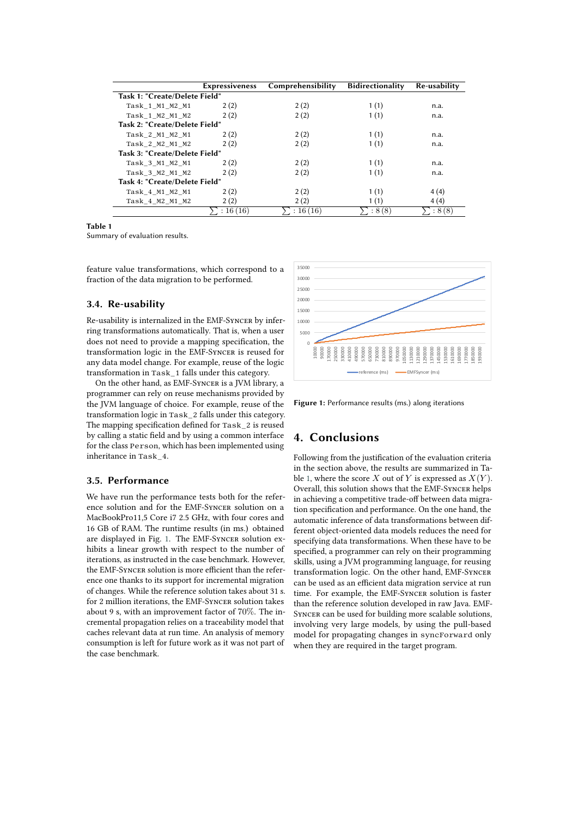|                                      | <b>Expressiveness</b> | Comprehensibility | Bidirectionality | Re-usability |
|--------------------------------------|-----------------------|-------------------|------------------|--------------|
| Task 1: "Create/Delete Field"        |                       |                   |                  |              |
| Task 1 M1 M2 M1                      | 2(2)                  | 2(2)              | 1(1)             | n.a.         |
| Task 1 M2 M1 M2                      | 2(2)                  | 2(2)              | 1(1)             | n.a.         |
| Task 2: "Create/Delete Field"        |                       |                   |                  |              |
| Task 2 M1 M2 M1                      | 2(2)                  | 2(2)              | 1(1)             | n.a.         |
| Task 2 M2 M1 M2                      | 2(2)                  | 2(2)              | 1(1)             | n.a.         |
| <b>Task 3: "Create/Delete Field"</b> |                       |                   |                  |              |
| Task 3 M1 M2 M1                      | 2(2)                  | 2(2)              | 1(1)             | n.a.         |
| Task 3 M2 M1 M2                      | 2(2)                  | 2(2)              | 1(1)             | n.a.         |
| Task 4: "Create/Delete Field"        |                       |                   |                  |              |
| Task 4 M1 M2 M1                      | 2(2)                  | 2(2)              | 1(1)             | 4(4)         |
| Task 4 M2 M1 M2                      | 2(2)                  | 2(2)              | 1(1)             | 4(4)         |
|                                      | : 16(16)              | : 16(16)          | :8(8)            | :8(8)        |

#### **Table 1**

<span id="page-4-2"></span>Summary of evaluation results.

feature value transformations, which correspond to a fraction of the data migration to be performed.

### **3.4. Re-usability**

Re-usability is internalized in the EMF-Syncer by inferring transformations automatically. That is, when a user does not need to provide a mapping specification, the transformation logic in the EMF-Syncer is reused for any data model change. For example, reuse of the logic transformation in Task\_1 falls under this category.

On the other hand, as EMF-Syncer is a JVM library, a programmer can rely on reuse mechanisms provided by the JVM language of choice. For example, reuse of the transformation logic in Task\_2 falls under this category. The mapping specification defined for Task\_2 is reused by calling a static field and by using a common interface for the class Person, which has been implemented using inheritance in Task\_4.

### **3.5. Performance**

We have run the performance tests both for the reference solution and for the EMF-Syncer solution on a MacBookPro11,5 Core i7 2.5 GHz, with four cores and 16 GB of RAM. The runtime results (in ms.) obtained are displayed in Fig. [1.](#page-4-1) The EMF-Syncer solution exhibits a linear growth with respect to the number of iterations, as instructed in the case benchmark. However, the EMF-Syncer solution is more efficient than the reference one thanks to its support for incremental migration of changes. While the reference solution takes about 31 s. for 2 million iterations, the EMF-Syncer solution takes about 9 s, with an improvement factor of 70%. The incremental propagation relies on a traceability model that caches relevant data at run time. An analysis of memory consumption is left for future work as it was not part of the case benchmark.



<span id="page-4-1"></span>**Figure 1:** Performance results (ms.) along iterations

## <span id="page-4-0"></span>**4. Conclusions**

Following from the justification of the evaluation criteria in the section above, the results are summarized in Ta-ble [1,](#page-4-2) where the score X out of Y is expressed as  $X(Y)$ . Overall, this solution shows that the EMF-Syncer helps in achieving a competitive trade-off between data migration specification and performance. On the one hand, the automatic inference of data transformations between different object-oriented data models reduces the need for specifying data transformations. When these have to be specified, a programmer can rely on their programming skills, using a JVM programming language, for reusing transformation logic. On the other hand, EMF-Syncer can be used as an efficient data migration service at run time. For example, the EMF-Syncer solution is faster than the reference solution developed in raw Java. EMF-Syncer can be used for building more scalable solutions, involving very large models, by using the pull-based model for propagating changes in syncForward only when they are required in the target program.